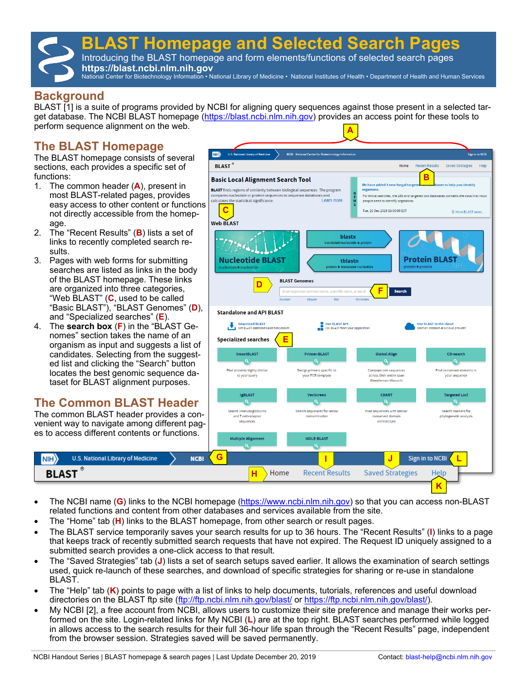# **BLAST Homepage and Selected Search Pages**

Introducing the BLAST homepage and form elements/functions of selected search pages **https://blast.ncbi.nlm.nih.gov** 

National Center for Biotechnology Information • National Library of Medicine • National Institutes of Health • Department of Health and Human Services

# **Background**

BLAST [1] is a suite of programs provided by NCBI for aligning query sequences against those present in a selected target database. The NCBI BLAST homepage ([https://blast.ncbi.nlm.nih.gov\)](https://blast.ncbi.nlm.nih.gov) provides an access point for these tools to perform sequence alignment on the web. **A**

# **The BLAST Homepage**

The BLAST homepage consists of several sections, each provides a specific set of functions:

- 1. The common header (**A**), present in most BLAST-related pages, provides easy access to other content or functions not directly accessible from the homepage.
- 2. The "Recent Results" (**B**) lists a set of links to recently completed search results.
- 3. Pages with web forms for submitting searches are listed as links in the body of the BLAST homepage. These links are organized into three categories, "Web BLAST" (**C**, used to be called "Basic BLAST"), "BLAST Genomes" (**D**), and "Specialized searches" (**E**).
- 4. The **search box** (**F**) in the "BLAST Genomes" section takes the name of an organism as input and suggests a list of candidates. Selecting from the suggested list and clicking the "Search" button locates the best genomic sequence dataset for BLAST alignment purposes.

# **The Common BLAST Header**

The common BLAST header provides a convenient way to navigate among different pages to access different contents or functions.

**U.S. National Library of Medicine** 

 $NIH$ 

**BLAST** 



- The NCBI name (**G**) links to the NCBI homepage ([https://www.ncbi.nlm.nih.gov\)](https://www.ncbi.nlm.nih.gov) so that you can access non-BLAST related functions and content from other databases and services available from the site.
- The "Home" tab (**H**) links to the BLAST homepage, from other search or result pages.
- The BLAST service temporarily saves your search results for up to 36 hours. The "Recent Results" (**I**) links to a page that keeps track of recently submitted search requests that have not expired. The Request ID uniquely assigned to a submitted search provides a one-click access to that result.
- The "Saved Strategies" tab (**J**) lists a set of search setups saved earlier. It allows the examination of search settings used, quick re-launch of these searches, and download of specific strategies for sharing or re-use in standalone BLAST.
- The "Help" tab (**K**) points to page with a list of links to help documents, tutorials, references and useful download directories on the BLAST ftp site [\(ftp://ftp.ncbi.nlm.nih.gov/blast/](ftp://ftp.ncbi.nlm.nih.gov/blast/) or [https://ftp.ncbi.nlm.nih.gov/blast/\)](https://ftp.ncbi.nlm.nih.gov/blast/).
- My NCBI [2], a free account from NCBI, allows users to customize their site preference and manage their works performed on the site. Login-related links for My NCBI (**L**) are at the top right. BLAST searches performed while logged in allows access to the search results for their full 36-hour life span through the "Recent Results" page, independent from the browser session. Strategies saved will be saved permanently.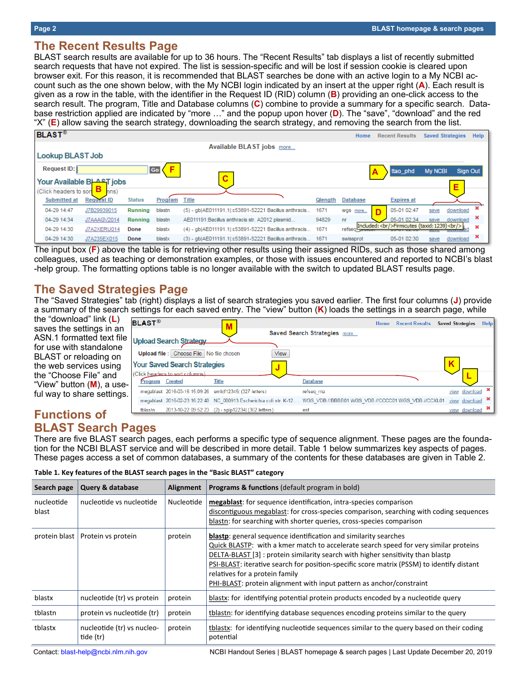# **The Recent Results Page**

BLAST search results are available for up to 36 hours. The "Recent Results" tab displays a list of recently submitted search requests that have not expired. The list is session-specific and will be lost if session cookie is cleared upon browser exit. For this reason, it is recommended that BLAST searches be done with an active login to a My NCBI account such as the one shown below, with the My NCBI login indicated by an insert at the upper right (**A**). Each result is given as a row in the table, with the identifier in the Request ID (RID) column (**B**) providing an one-click access to the search result. The program, Title and Database columns (**C**) combine to provide a summary for a specific search. Database restriction applied are indicated by "more …" and the popup upon hover (**D**). The "save", "download" and the red "X" (**E**) allow saving the search strategy, downloading the search strategy, and removing the search from the list.

|                       | ັ                         |               |         | --<br>ີ      | ັ້                                                       |         | ີ               |                                                       |                         |                 |      |
|-----------------------|---------------------------|---------------|---------|--------------|----------------------------------------------------------|---------|-----------------|-------------------------------------------------------|-------------------------|-----------------|------|
| <b>BLAST®</b>         |                           |               |         |              |                                                          |         | Home            | <b>Recent Results</b>                                 | <b>Saved Strategies</b> |                 | Help |
|                       |                           |               |         |              | Available BLAST jobs more                                |         |                 |                                                       |                         |                 |      |
| Lookup BLAST Job      |                           |               |         |              |                                                          |         |                 |                                                       |                         |                 |      |
| Request ID:           |                           |               | Go      |              |                                                          |         |                 | ttao_phd                                              | <b>My NCBI</b>          | <b>Sign Out</b> |      |
|                       | Your Available BLAST jobs |               |         | С            |                                                          |         |                 |                                                       |                         | Е               |      |
| (Click headers to sor | hns)                      |               |         |              |                                                          |         |                 |                                                       |                         |                 |      |
| <b>Submitted at</b>   | <b>Request ID</b>         | <b>Status</b> | Program | <b>Title</b> |                                                          | Qlength | <b>Database</b> | <b>Expires</b> at                                     |                         |                 |      |
| 04-29 14:47           | J7B29939015               | Running       | blastn  |              | (5) - qb AE011191.1 :c53891-52221 Bacillus anthracis     | 1671    | wgs more        | 05-01 02:47                                           | save                    | download        |      |
| 04-29 14:34           | J7AAAGV2014               | Running       | blastn  |              | AE011191:Bacillus anthracis str. A2012 plasmid           | 94829   | nr              | 05-01 02:34                                           | save                    | download        |      |
| 04-29 14:30           | J7A2XERU014               | Done          | blastx  |              | (4) - qb AE011191.1 :c53891-52221 Bacillus anthracis     | 1671    | refseq proto    | Included:<br>hr/>Firmicutes (taxid: 1239)<br><br>hr/> |                         |                 |      |
| 04-29 14:30           | J7A235EX015               | Done          | blastx  |              | (3) - gblAE011191.1:c53891-52221 Bacillus anthracis 1671 |         | swissprot       | 05-01 02:30                                           | save                    | download        | ×    |

The input box (**F**) above the table is for retrieving other results using their assigned RIDs, such as those shared among colleagues, used as teaching or demonstration examples, or those with issues encountered and reported to NCBI's blast -help group. The formatting options table is no longer available with the switch to updated BLAST results page.

# **The Saved Strategies Page**

The "Saved Strategies" tab (right) displays a list of search strategies you saved earlier. The first four columns (**J**) provide a summary of the search settings for each saved entry. The "view" button (**K**) loads the settings in a search page, while

the "download" link (**L**) saves the settings in an ASN.1 formatted text file for use with standalone BLAST or reloading on the web services using the "Choose File" and "View" button (**M**), a useful way to share settings.

| <b>BLAST®</b>   |                                         | M                                                       |                                                                                                                        | Home | <b>Recent Results</b> | <b>Saved Strategies</b> | <b>Help</b> |
|-----------------|-----------------------------------------|---------------------------------------------------------|------------------------------------------------------------------------------------------------------------------------|------|-----------------------|-------------------------|-------------|
|                 |                                         |                                                         | Saved Search Strategies more                                                                                           |      |                       |                         |             |
|                 | <b>Upload Search Strategy</b>           |                                                         |                                                                                                                        |      |                       |                         |             |
|                 | Upload file: Choose File No file chosen | View                                                    |                                                                                                                        |      |                       |                         |             |
|                 | <b>Your Saved Search Strategies</b>     | IJ                                                      |                                                                                                                        |      |                       |                         |             |
|                 | (Click headers to sort columns).        |                                                         |                                                                                                                        |      |                       |                         |             |
| Program Created |                                         | <b>Title</b>                                            | <b>Database</b>                                                                                                        |      |                       |                         |             |
|                 |                                         | megablast 2016-03-16 15:09:26 emblf12345  (327 letters) | refseg ma                                                                                                              |      |                       | view download           |             |
|                 |                                         |                                                         | megablast 2016-02-23 16:22:40 NC 000913:Escherichia coli str. K-12  WGS VDB://BBBB01 WGS VDB://CCCC01 WGS VDB://CCXL01 |      |                       | view download           |             |
| tblastn         |                                         | 2013-10-22 09:52:23 (2) - splp12234 (362 letters)       | est                                                                                                                    |      |                       | view download           |             |

# **Functions of BLAST Search Pages**

There are five BLAST search pages, each performs a specific type of sequence alignment. These pages are the foundation for the NCBI BLAST service and will be described in more detail. Table 1 below summarizes key aspects of pages. These pages access a set of common databases, a summary of the contents for these databases are given in Table 2.

| Table 1. Key features of the BLAST search pages in the "Basic BLAST" category |  |  |
|-------------------------------------------------------------------------------|--|--|
|                                                                               |  |  |

| Search page         | <b>Query &amp; database</b>             | <b>Alignment</b> | <b>Programs &amp; functions</b> (default program in bold)                                                                                                                                                                                                                                                                                                                                                                                                |
|---------------------|-----------------------------------------|------------------|----------------------------------------------------------------------------------------------------------------------------------------------------------------------------------------------------------------------------------------------------------------------------------------------------------------------------------------------------------------------------------------------------------------------------------------------------------|
| nucleotide<br>blast | nucleotide vs nucleotide                | Nucleotide       | megablast: for sequence identification, intra-species comparison<br>discontiguous megablast: for cross-species comparison, searching with coding sequences<br>blastn: for searching with shorter queries, cross-species comparison                                                                                                                                                                                                                       |
| protein blast       | Protein vs protein                      | protein          | <b>blastp:</b> general sequence identification and similarity searches<br>Quick BLASTP: with a kmer match to accelerate search speed for very similar proteins<br>DELTA-BLAST [3] : protein similarity search with higher sensitivity than blastp<br>PSI-BLAST: iterative search for position-specific score matrix (PSSM) to identify distant<br>relatives for a protein family<br>PHI-BLAST: protein alignment with input pattern as anchor/constraint |
| blastx              | nucleotide (tr) vs protein              | protein          | blastx: for identifying potential protein products encoded by a nucleotide query                                                                                                                                                                                                                                                                                                                                                                         |
| tblastn             | protein vs nucleotide (tr)              | protein          | tblastn: for identifying database sequences encoding proteins similar to the query                                                                                                                                                                                                                                                                                                                                                                       |
| tblastx             | nucleotide (tr) vs nucleo-<br>tide (tr) | protein          | tblastx: for identifying nucleotide sequences similar to the query based on their coding<br>potential                                                                                                                                                                                                                                                                                                                                                    |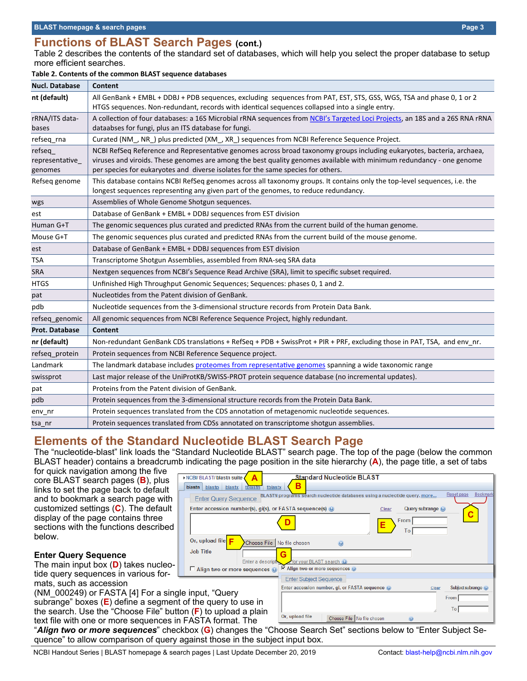# **Functions of BLAST Search Pages (cont.)**

Table 2 describes the contents of the standard set of databases, which will help you select the proper database to setup more efficient searches.

#### **Table 2. Contents of the common BLAST sequence databases**

| <b>Nucl. Database</b>               | Content                                                                                                                                                                                                                                                                                                                            |
|-------------------------------------|------------------------------------------------------------------------------------------------------------------------------------------------------------------------------------------------------------------------------------------------------------------------------------------------------------------------------------|
| nt (default)                        | All GenBank + EMBL + DDBJ + PDB sequences, excluding sequences from PAT, EST, STS, GSS, WGS, TSA and phase 0, 1 or 2<br>HTGS sequences. Non-redundant, records with identical sequences collapsed into a single entry.                                                                                                             |
| rRNA/ITS data-<br>bases             | A collection of four databases: a 16S Microbial rRNA sequences from NCBI's Targeted Loci Projects, an 18S and a 26S RNA rRNA<br>dataabses for fungi, plus an ITS database for fungi.                                                                                                                                               |
| refseq_rna                          | Curated (NM_, NR_) plus predicted (XM_, XR_) sequences from NCBI Reference Sequence Project.                                                                                                                                                                                                                                       |
| refseq<br>representative<br>genomes | NCBI RefSeq Reference and Representative genomes across broad taxonomy groups including eukaryotes, bacteria, archaea,<br>viruses and viroids. These genomes are among the best quality genomes available with minimum redundancy - one genome<br>per species for eukaryotes and diverse isolates for the same species for others. |
| Refseq genome                       | This database contains NCBI RefSeq genomes across all taxonomy groups. It contains only the top-level sequences, i.e. the<br>longest sequences representing any given part of the genomes, to reduce redundancy.                                                                                                                   |
| wgs                                 | Assemblies of Whole Genome Shotgun sequences.                                                                                                                                                                                                                                                                                      |
| est                                 | Database of GenBank + EMBL + DDBJ sequences from EST division                                                                                                                                                                                                                                                                      |
| Human G+T                           | The genomic sequences plus curated and predicted RNAs from the current build of the human genome.                                                                                                                                                                                                                                  |
| Mouse G+T                           | The genomic sequences plus curated and predicted RNAs from the current build of the mouse genome.                                                                                                                                                                                                                                  |
| est                                 | Database of GenBank + EMBL + DDBJ sequences from EST division                                                                                                                                                                                                                                                                      |
| <b>TSA</b>                          | Transcriptome Shotgun Assemblies, assembled from RNA-seq SRA data                                                                                                                                                                                                                                                                  |
| <b>SRA</b>                          | Nextgen sequences from NCBI's Sequence Read Archive (SRA), limit to specific subset required.                                                                                                                                                                                                                                      |
| <b>HTGS</b>                         | Unfinished High Throughput Genomic Sequences; Sequences: phases 0, 1 and 2.                                                                                                                                                                                                                                                        |
| pat                                 | Nucleotides from the Patent division of GenBank.                                                                                                                                                                                                                                                                                   |
| pdb                                 | Nucleotide sequences from the 3-dimensional structure records from Protein Data Bank.                                                                                                                                                                                                                                              |
| refseq_genomic                      | All genomic sequences from NCBI Reference Sequence Project, highly redundant.                                                                                                                                                                                                                                                      |
| <b>Prot. Database</b>               | <b>Content</b>                                                                                                                                                                                                                                                                                                                     |
| nr (default)                        | Non-redundant GenBank CDS translations + RefSeq + PDB + SwissProt + PIR + PRF, excluding those in PAT, TSA, and env nr.                                                                                                                                                                                                            |
| refseq_protein                      | Protein sequences from NCBI Reference Sequence project.                                                                                                                                                                                                                                                                            |
| Landmark                            | The landmark database includes proteomes from representative genomes spanning a wide taxonomic range                                                                                                                                                                                                                               |
| swissprot                           | Last major release of the UniProtKB/SWISS-PROT protein sequence database (no incremental updates).                                                                                                                                                                                                                                 |
| pat                                 | Proteins from the Patent division of GenBank.                                                                                                                                                                                                                                                                                      |
| pdb                                 | Protein sequences from the 3-dimensional structure records from the Protein Data Bank.                                                                                                                                                                                                                                             |
| env_nr                              | Protein sequences translated from the CDS annotation of metagenomic nucleotide sequences.                                                                                                                                                                                                                                          |
| tsa nr                              | Protein sequences translated from CDSs annotated on transcriptome shotgun assemblies.                                                                                                                                                                                                                                              |

# **Elements of the Standard Nucleotide BLAST Search Page**

NCBI/BLAST/blastn suite blastn blastp blastx

**Enter Query Sequence** 

The "nucleotide-blast" link loads the "Standard Nucleotide BLAST" search page. The top of the page (below the common BLAST header) contains a breadcrumb indicating the page position in the site hierarchy (**A**), the page title, a set of tabs

tblastx

**A**

for quick navigation among the five core BLAST search pages (**B**), plus links to set the page back to default and to bookmark a search page with customized settings (**C**). The default display of the page contains three sections with the functions described below.

#### **Enter Query Sequence**

The main input box (**D**) takes nucleotide query sequences in various formats, such as accession

| (NM 000249) or FASTA [4] For a single input, "Query                                                       |
|-----------------------------------------------------------------------------------------------------------|
| subrange" boxes $(E)$ define a segment of the query to use in                                             |
| the search. Use the "Choose File" button $(F)$ to upload a plain                                          |
| text file with one or more sequences in FASTA format. The                                                 |
| $\#$ A Here $\#$ is a second position of $\#$ also able to $(\bigcap_{n=1}^{\infty}$ also a set that $\#$ |

Enter accession number(s), gi(s), or FASTA sequence(s) @ Clear Query subrange @ **C D**From **E** To Or, upload file **F** Choose File No file chosen  $\overline{\mathbf{Q}}$ **Job Title G** or your BLAST search Enter a descri  $\overline{\triangledown}$  Align two or more sequences  $\odot$ □ Align two or more sequences **● Enter Subject Sequence** Subject subrange Enter accession number, gi, or FASTA sequence From I To<sup>[</sup> Or, upload file Choose File No file chosen  $\ddot{\Omega}$ 

**B**<br>BLASTN programs search nucleotide databases using a nucleotide query. more...

**Standard Nucleotide BLAST** 

"*Align two or more sequences*" checkbox (**G**) changes the "Choose Search Set" sections below to "Enter Subject Sequence" to allow comparison of query against those in the subject input box.

Reset page Bookn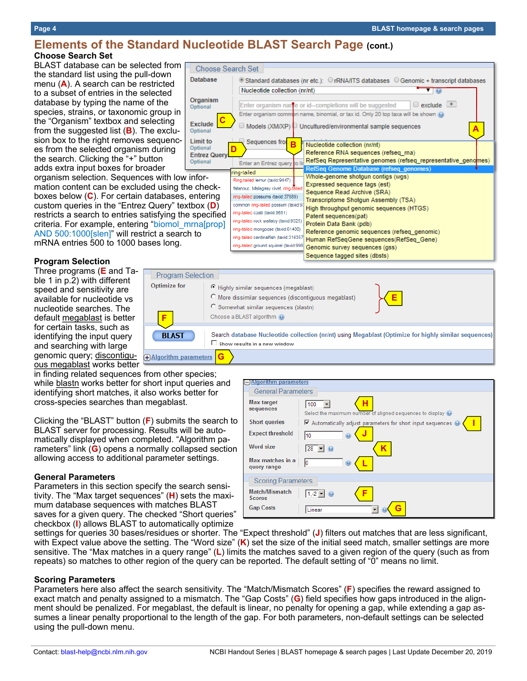# **Elements of the Standard Nucleotide BLAST Search Page (cont.) Choose Search Set**

Database

**Choose Search Set** 

BLAST database can be selected from the standard list using the pull-down menu (**A**). A search can be restricted to a subset of entries in the selected database by typing the name of the species, strains, or taxonomic group in the "Organism" textbox and selecting from the suggested list (**B**). The exclusion box to the right removes sequences from the selected organism during the search. Clicking the "+" button adds extra input boxes for broader

organism selection. Sequences with low information content can be excluded using the checkboxes below (**C**). For certain databases, entering custom queries in the "Entrez Query" textbox (**D**) restricts a search to entries satisfying the specified criteria. For example, entering "biomol\_mrna[prop] AND 500:1000[slen]" will restrict a search to mRNA entries 500 to 1000 bases long.

#### **Program Selection**

Three programs (**E** and Table 1 in p.2) with different speed and sensitivity are available for nucleotide vs nucleotide searches. The default megablast is better for certain tasks, such as identifying the input query and searching with large genomic query; discontiguous megablast works better

in finding related sequences from other species; while blastn works better for short input queries and identifying short matches, it also works better for cross-species searches than megablast.

**F**

**BLAST** 

**+Algorithm parameters** 

Program Selectio **Optimize for** 

**G**

Clicking the "BLAST" button (**F**) submits the search to BLAST server for processing. Results will be automatically displayed when completed. "Algorithm parameters" link (**G**) opens a normally collapsed section allowing access to additional parameter settings.

#### **General Parameters**

Parameters in this section specify the search sensitivity. The "Max target sequences" (**H**) sets the maximum database sequences with matches BLAST saves for a given query. The checked "Short queries" checkbox (**I**) allows BLAST to automatically optimize

settings for queries 30 bases/residues or shorter. The "Expect threshold" (**J**) filters out matches that are less significant, with Expect value above the setting. The "Word size" (**K**) set the size of the initial seed match, smaller settings are more sensitive. The "Max matches in a query range" (**L**) limits the matches saved to a given region of the query (such as from repeats) so matches to other region of the query can be reported. The default setting of "0" means no limit.

#### **Scoring Parameters**

Parameters here also affect the search sensitivity. The "Match/Mismatch Scores" (**F**) specifies the reward assigned to exact match and penalty assigned to a mismatch. The "Gap Costs" (**G**) field specifies how gaps introduced in the alignment should be penalized. For megablast, the default is linear, no penalty for opening a gap, while extending a gap assumes a linear penalty proportional to the length of the gap. For both parameters, non-default settings can be selected using the pull-down menu.



| )n<br>C Highly similar sequences (megablast)<br>O More dissimilar sequences (discontiguous megablast)<br>C Somewhat similar sequences (blastn)<br>Choose a BLAST algorithm (O) |  |
|--------------------------------------------------------------------------------------------------------------------------------------------------------------------------------|--|
|                                                                                                                                                                                |  |
| Search database Nucleotide collection (nr/nt) using Megablast (Optimize for highly similar sequences<br>Show results in a new window                                           |  |

| <b>Mqorithm parameters</b>             |                                                                                         |
|----------------------------------------|-----------------------------------------------------------------------------------------|
| <b>General Parameters</b>              |                                                                                         |
|                                        |                                                                                         |
| Max target<br>sequences                | н<br>100<br>Select the maximum number of aligned sequences to display $\Theta$          |
| <b>Short queries</b>                   | $\blacksquare$ Automatically adjust parameters for short input sequences $\blacksquare$ |
| <b>Expect threshold</b>                | 10<br>€                                                                                 |
| Word size                              | K.<br>28                                                                                |
| Max matches in a<br>query range        | Iо<br>$\circledcirc$                                                                    |
| <b>Scoring Parameters</b>              |                                                                                         |
| <b>Match/Mismatch</b><br><b>Scores</b> | $1, -2$ $\blacktriangleright$<br>F                                                      |
| <b>Gap Costs</b>                       | G<br>Linear                                                                             |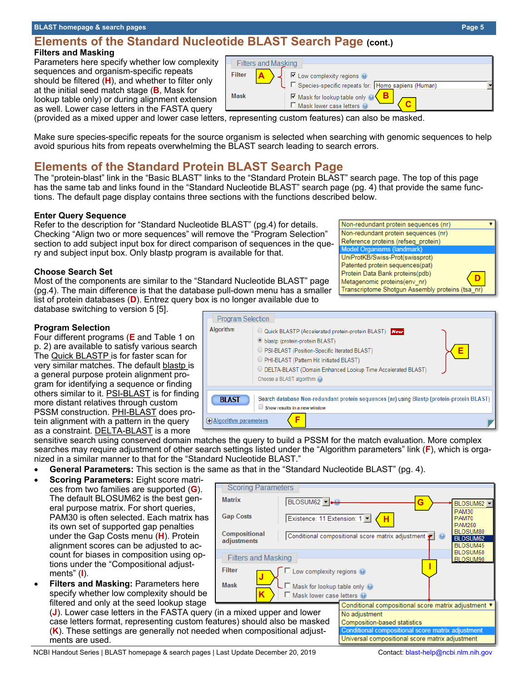### **Elements of the Standard Nucleotide BLAST Search Page (cont.) Filters and Masking**

Parameters here specify whether low complexity sequences and organism-specific repeats should be filtered (**H**), and whether to filter only at the initial seed match stage (**B**, Mask for lookup table only) or during alignment extension as well. Lower case letters in the FASTA query

(provided as a mixed upper and lower case letters, representing custom features) can also be masked.

Make sure species-specific repeats for the source organism is selected when searching with genomic sequences to help avoid spurious hits from repeats overwhelming the BLAST search leading to search errors.

# **Elements of the Standard Protein BLAST Search Page**

The "protein-blast" link in the "Basic BLAST" links to the "Standard Protein BLAST" search page. The top of this page has the same tab and links found in the "Standard Nucleotide BLAST" search page (pg. 4) that provide the same functions. The default page display contains three sections with the functions described below.

**Program Selection** 

**Algorithm** 

#### **Enter Query Sequence**

Refer to the description for "Standard Nucleotide BLAST" (pg.4) for details. Checking "Align two or more sequences" will remove the "Program Selection" section to add subject input box for direct comparison of sequences in the query and subject input box. Only blastp program is available for that.

#### **Choose Search Set**

Most of the components are similar to the "Standard Nucleotide BLAST" page (pg.4). The main difference is that the database pull-down menu has a smaller list of protein databases (**D**). Entrez query box is no longer available due to database switching to version 5 [5].

#### **Program Selection**

Four different programs (**E** and Table 1 on p. 2) are available to satisfy various search The Quick BLASTP is for faster scan for very similar matches. The default blastp is a general purpose protein alignment program for identifying a sequence or finding others similar to it. PSI-BLAST is for finding more distant relatives through custom PSSM construction. PHI-BLAST does protein alignment with a pattern in the query as a constraint. DELTA-BLAST is a more

sensitive search using conserved domain matches the query to build a PSSM for the match evaluation. More complex searches may require adjustment of other search settings listed under the "Algorithm parameters" link (**F**), which is organized in a similar manner to that for the "Standard Nucleotide BLAST."

**F**

ightharpooner blast blast (protein BLAST)

Choose a BLAST algorithm @

Show results in a new window

O Quick BLASTP (Accelerated protein-protein BLAST) New

O DELTA-BLAST (Domain Enhanced Lookup Time Accelerated BLAST)

Search database Non-redundant protein sequences (nr) using Blastp (protein-protein BLAST)

O PSI-BLAST (Position-Specific Iterated BLAST) O PHI-BLAST (Pattern Hit Initiated BLAST)

• **General Parameters:** This section is the same as that in the "Standard Nucleotide BLAST" (pg. 4).

**BLAST** 

**+** Algorithm parameters

- **Scoring Parameters:** Eight score matrices from two families are supported (**G**). The default BLOSUM62 is the best general purpose matrix. For short queries, PAM30 is often selected. Each matrix has its own set of supported gap penalties under the Gap Costs menu (**H**). Protein alignment scores can be adjusted to account for biases in composition using options under the "Compositional adjustments" (**I**).
- **Filters and Masking:** Parameters here specify whether low complexity should be filtered and only at the seed lookup stage

(**J**). Lower case letters in the FASTA query (in a mixed upper and lower case letters format, representing custom features) should also be masked (**K**). These settings are generally not needed when compositional adjustments are used.

#### Non-redundant protein sequences (nr) Non-redundant protein sequences (nr) Reference proteins (refseq\_protein) Model Organisms (landmar UniProtKB/Swiss-Prot(swissprot) Patented protein sequences(pat) Protein Data Bank proteins(pdb) **D** Metagenomic proteins(env nr)



Transcriptome Shotgun Assembly proteins (tsa\_nr)

**E**

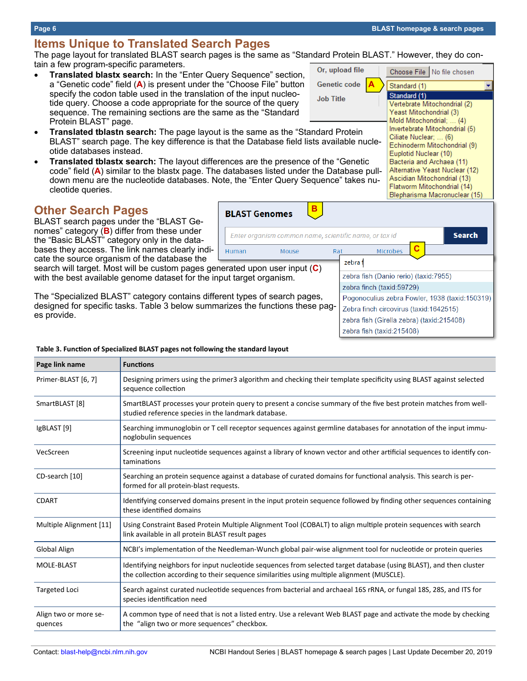# **Items Unique to Translated Search Pages**

The page layout for translated BLAST search pages is the same as "Standard Protein BLAST." However, they do contain a few program-specific parameters. Or, upload file Choose File | No file chosen

- **Translated blastx search:** In the "Enter Query Sequence" section, a "Genetic code" field (**A**) is present under the "Choose File" button specify the codon table used in the translation of the input nucleotide query. Choose a code appropriate for the source of the query sequence. The remaining sections are the same as the "Standard Protein BLAST" page.
- **Translated tblastn search:** The page layout is the same as the "Standard Protein BLAST" search page. The key difference is that the Database field lists available nucleotide databases instead.
- **Translated tblastx search:** The layout differences are the presence of the "Genetic code" field (**A**) similar to the blastx page. The databases listed under the Database pulldown menu are the nucleotide databases. Note, the "Enter Query Sequence" takes nucleotide queries.

Human

# **Other Search Pages**

**Page link name Functions**

BLAST search pages under the "BLAST Genomes" category (**B**) differ from these under the "Basic BLAST" category only in the databases they access. The link names clearly indicate the source organism of the database the

search will target. Most will be custom pages generated upon user input (**C**) with the best available genome dataset for the input target organism.

**Table 3. Function of Specialized BLAST pages not following the standard layout**

The "Specialized BLAST" category contains different types of search pages, designed for specific tasks. Table 3 below summarizes the functions these pages provide.

| Primer-BLAST [6, 7]              | Designing primers using the primer3 algorithm and checking their template specificity using BLAST against selected<br>sequence collection                                                                        |
|----------------------------------|------------------------------------------------------------------------------------------------------------------------------------------------------------------------------------------------------------------|
| SmartBLAST [8]                   | SmartBLAST processes your protein query to present a concise summary of the five best protein matches from well-<br>studied reference species in the landmark database.                                          |
| IgBLAST [9]                      | Searching immunoglobin or T cell receptor sequences against germline databases for annotation of the input immu-<br>noglobulin sequences                                                                         |
| VecScreen                        | Screening input nucleotide sequences against a library of known vector and other artificial sequences to identify con-<br>taminations                                                                            |
| CD-search [10]                   | Searching an protein sequence against a database of curated domains for functional analysis. This search is per-<br>formed for all protein-blast requests.                                                       |
| <b>CDART</b>                     | Identifying conserved domains present in the input protein sequence followed by finding other sequences containing<br>these identified domains                                                                   |
| Multiple Alignment [11]          | Using Constraint Based Protein Multiple Alignment Tool (COBALT) to align multiple protein sequences with search<br>link available in all protein BLAST result pages                                              |
| Global Align                     | NCBI's implementation of the Needleman-Wunch global pair-wise alignment tool for nucleotide or protein queries                                                                                                   |
| MOLE-BLAST                       | Identifying neighbors for input nucleotide sequences from selected target database (using BLAST), and then cluster<br>the collection according to their sequence similarities using multiple alignment (MUSCLE). |
| <b>Targeted Loci</b>             | Search against curated nucleotide sequences from bacterial and archaeal 16S rRNA, or fungal 18S, 28S, and ITS for<br>species identification need                                                                 |
| Align two or more se-<br>quences | A common type of need that is not a listed entry. Use a relevant Web BLAST page and activate the mode by checking<br>the "align two or more sequences" checkbox.                                                 |

#### Bacteria and Archaea (11) Alternative Yeast Nuclear (12) Ascidian Mitochondrial (13) Flatworm Mitochondrial (14) Blepharisma Macronuclear (15) **B BLAST Genomes** Enter organism common name, scientific name, or tax id **Search C** Mouse Rat Microbes zebra f zebra fish (Danio rerio) (taxid:7955)

**Genetic code A** Standard (1) Standard (1) **Job Title** Vertebrate Mitochondrial (2) Yeast Mitochondrial (3) Mold Mitochondrial: ... (4) Invertebrate Mitochondrial (5)

# zebra finch (taxid:59729) Pogonoculius zebra Fowler, 1938 (taxid:150319) Zebra finch circovirus (taxid: 1642515)

zebra fish (taxid:215408)

zebra fish (Girella zebra) (taxid:215408)

Ciliate Nuclear; ... (6) Echinoderm Mitochondrial (9) Euplotid Nuclear (10)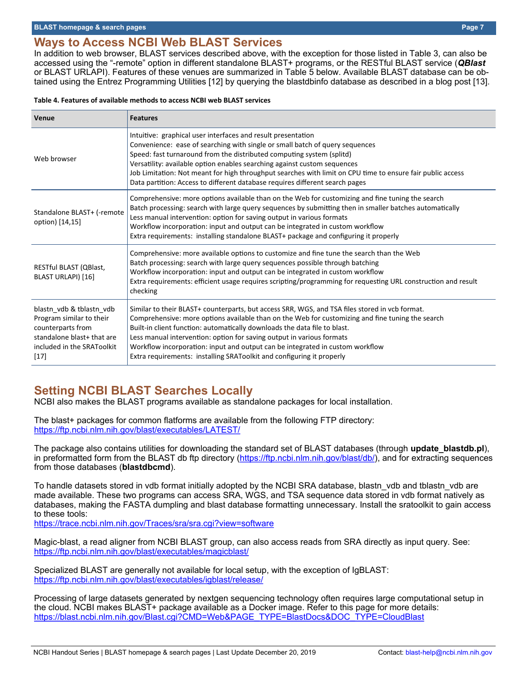# **Ways to Access NCBI Web BLAST Services**

In addition to web browser, BLAST services described above, with the exception for those listed in Table 3, can also be accessed using the "-remote" option in different standalone BLAST+ programs, or the RESTful BLAST service (*QBlast* or BLAST URLAPI). Features of these venues are summarized in Table 5 below. Available BLAST database can be obtained using the Entrez Programming Utilities [12] by querying the blastdbinfo database as described in a blog post [13].

#### **Table 4. Features of available methods to access NCBI web BLAST services**

| Venue                                                                                                                                           | <b>Features</b>                                                                                                                                                                                                                                                                                                                                                                                                                                                                                                    |
|-------------------------------------------------------------------------------------------------------------------------------------------------|--------------------------------------------------------------------------------------------------------------------------------------------------------------------------------------------------------------------------------------------------------------------------------------------------------------------------------------------------------------------------------------------------------------------------------------------------------------------------------------------------------------------|
| Web browser                                                                                                                                     | Intuitive: graphical user interfaces and result presentation<br>Convenience: ease of searching with single or small batch of query sequences<br>Speed: fast turnaround from the distributed computing system (splitd)<br>Versatility: available option enables searching against custom sequences<br>Job Limitation: Not meant for high throughput searches with limit on CPU time to ensure fair public access<br>Data partition: Access to different database requires different search pages                    |
| Standalone BLAST+ (-remote<br>option) [14,15]                                                                                                   | Comprehensive: more options available than on the Web for customizing and fine tuning the search<br>Batch processing: search with large query sequences by submitting then in smaller batches automatically<br>Less manual intervention: option for saving output in various formats<br>Workflow incorporation: input and output can be integrated in custom workflow<br>Extra requirements: installing standalone BLAST+ package and configuring it properly                                                      |
| RESTful BLAST (QBlast,<br>BLAST URLAPI) [16]                                                                                                    | Comprehensive: more available options to customize and fine tune the search than the Web<br>Batch processing: search with large query sequences possible through batching<br>Workflow incorporation: input and output can be integrated in custom workflow<br>Extra requirements: efficient usage requires scripting/programming for requesting URL construction and result<br>checking                                                                                                                            |
| blastn_vdb & tblastn_vdb<br>Program similar to their<br>counterparts from<br>standalone blast+ that are<br>included in the SRAToolkit<br>$[17]$ | Similar to their BLAST+ counterparts, but access SRR, WGS, and TSA files stored in vcb format.<br>Comprehensive: more options available than on the Web for customizing and fine tuning the search<br>Built-in client function: automatically downloads the data file to blast.<br>Less manual intervention: option for saving output in various formats<br>Workflow incorporation: input and output can be integrated in custom workflow<br>Extra requirements: installing SRAToolkit and configuring it properly |

# **Setting NCBI BLAST Searches Locally**

NCBI also makes the BLAST programs available as standalone packages for local installation.

The blast+ packages for common flatforms are available from the following FTP directory: <https://ftp.ncbi.nlm.nih.gov/blast/executables/LATEST/>

The package also contains utilities for downloading the standard set of BLAST databases (through **update\_blastdb.pl**), in preformatted form from the BLAST db ftp directory ([https://ftp.ncbi.nlm.nih.gov/blast/db/\),](https://ftp.ncbi.nlm.nih.gov/blast/db/) and for extracting sequences from those databases (**blastdbcmd**).

To handle datasets stored in vdb format initially adopted by the NCBI SRA database, blastn\_vdb and tblastn\_vdb are made available. These two programs can access SRA, WGS, and TSA sequence data stored in vdb format natively as databases, making the FASTA dumpling and blast database formatting unnecessary. Install the sratoolkit to gain access to these tools:

<https://trace.ncbi.nlm.nih.gov/Traces/sra/sra.cgi?view=software>

Magic-blast, a read aligner from NCBI BLAST group, can also access reads from SRA directly as input query. See: <https://ftp.ncbi.nlm.nih.gov/blast/executables/magicblast/>

Specialized BLAST are generally not available for local setup, with the exception of IgBLAST: <https://ftp.ncbi.nlm.nih.gov/blast/executables/igblast/release/>

Processing of large datasets generated by nextgen sequencing technology often requires large computational setup in the cloud. NCBI makes BLAST+ package available as a Docker image. Refer to this page for more details: [https://blast.ncbi.nlm.nih.gov/Blast.cgi?CMD=Web&PAGE\\_TYPE=BlastDocs&DOC\\_TYPE=CloudBlast](https://blast.ncbi.nlm.nih.gov/Blast.cgi?CMD=Web&PAGE_TYPE=BlastDocs&DOC_TYPE=CloudBlast)